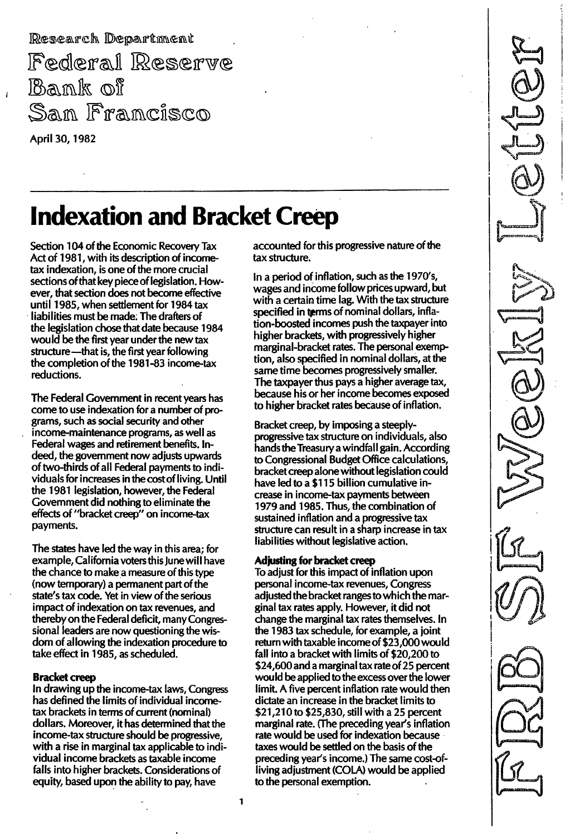Research Department Federal Reserve Bank of San Francisco April 30, 1982

 $\mathbf{I}$ 

# **Indexation and Bracket Creep**

Section 104 of the Economic Recovery Tax Act of 1981, with its description of incometax indexation, is one of the more crucial sections of that key piece of legislation. However, that section does not become effective until 1985, when settlement for 1984 tax liabilities must be made: The drafters of the legislation chose that date because 1984 would be the first year under the new tax structure-that is, the first year following the completion of the 1981-83 income-tax reductions.

The Federal Government in recent years has come to use indexation for a number of programs, such as social security and other income-maintenance programs, as well as Federal wages and retirement benefits. Indeed, the government now adjusts upwards of two-thirds of all Federal payments to individuals for increases in the cost of living. Until the 1981 legislation, however, the Federal Government did nothing to eliminate the effects of "bracket creep" on income-tax payments.

The states have led the way in this area; for example, California voters this June will have the chance to make a measure of this type (now temporary) a permanent part of the state's tax code. Yet in view of the serious impact of indexation on tax revenues, and thereby on the Federal deficit, many Congressional leaders are now questioning the wisdom of allowing the indexation procedure to take effect in 1985, as scheduled.

#### Bracket creep

In drawing up the income-tax laws, Congress has defined the limits of individual incometax brackets in terms of current (nominal) dollars. Moreover, it has determined that the income-tax structure should be progressive, with a rise in marginal tax applicable to individual income brackets as taxable income falls into higher brackets. Considerations of equity, based upon the ability to pay, have

accounted for this progressive nature of the tax structure.

In a period of inflation, such as the 1970's, wages and income follow prices upward, but with a certain time lag. With the tax structure specified in terms of nominal dollars, inflation-boosted incomes push the taxpayer into higher brackets, with progressively higher marginal-bracket rates. The personal exemption, also specified in nominal dollars, at the same time becomes progressively smaller. The taxpayer thus pays a higher average tax, because his or her income becomes exposed to higher bracket rates because of inflation.

Bracket creep, by imposing a steeplyprogressive tax structure on individuals, also hands the Treasury a windfall gain. According to Congressional Budget Office calculations, bracket creep alone without legislation cou Id have led to a \$1 15 billion cumulative increase in income-tax payments between 1 979 and 1985. Thus, the combination of sustained inflation and a progressive tax structure can result in a sharp increase in tax liabilities without legislative action.

#### Adjusting for bracket creep

To adjust for this impact of inflation upon personal income-tax revenues, Congress adjusted the bracket ranges to which the marginal tax rates apply. However, it did not change the marginal tax rates themselves. In the 1983 tax schedule, for example, a joint return with taxable income of \$23,000 would fall into a bracket with limits of \$20,200 to \$24,600 and a marginal tax rate of 25 percent would be applied to the excess over the lower limit. A five percent inflation rate would then dictate an increase in the bracket limits to \$21 ,21 0to \$25,830, still with a 25 percent marginal rate. (The preceding year's inflation rate would be used for indexation because taxes would be settled on the basis of the preceding year's income.) The same cost-ofliving adjustment (COLA) would be applied to the personal exemption.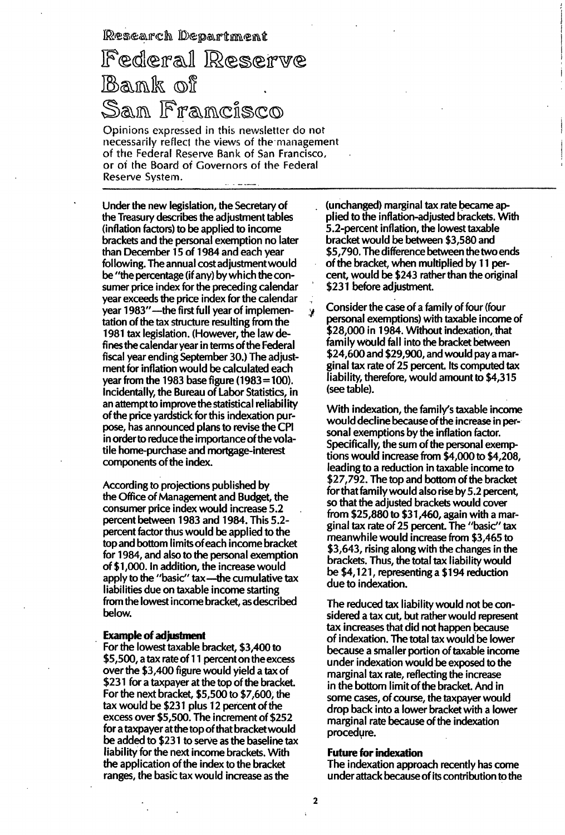Research Department

## Federal Reserve Bank of San Francisco

Opinions expressed in this newsletter do not recessarily reflect the views of the management of the Federal Reserve Bank of San Francisco, or of the Board of Governors of the Federal Reserve System.

Under the new legislation, the Secretary of the Treasury describes the adjustment tables (inflation factors) to be applied to income brackets and the personal exemption no later than December 15 of 1984 and each year following. The annual costadjustmentwould be "the percentage (if any) by which the consumer price index for the preceding calendar year exceeds the price index for the calendar year 1983"—the first full year of implementation of the tax structure resulting from the 1981 tax legislation. (However, the law defines the calendar year in terms of the Federal fiscal year ending September 30.) The adjustment for inflation would be calculated each year from the 1983 base figure (1983=100). Incidentally, the Bureau of Labor Statistics, in an attempt to improve the statistical reliability of the price yardstick for this indexation purpose, has announced plans to revise the CPI in order to reduce the importance of the volatile home-purchase and mortgage-interest components of the index.

According to projections published by the Office of Management and Budget, the consumer price index would increase 5.2 percent between 1983 and 1984. This 5.2percent factor thus would be applied to the top and bottom limits of each income bracket for 1984, and also to the personal exemption of \$1 ,000. In addition, the increase would apply to the "basic" tax-the cumulative tax liabilities due on taxable income starting from the lowest income bracket, as described below.

#### **Example of adjustment**

For the lowest taxable bracket, \$3,400 to \$5,500, a tax rate of 11 percent on the excess over the \$3,400 figure would yield a tax of \$231 for a taxpayer at the top of the bracket. For the next bracket, \$5,500 to \$7,600, the tax would be \$231 plus 12 percent of the excess over \$5,500. The increment of \$252 for a taxpayer at the top of that bracket wou Id be added to \$231 to serve as the baseline tax liability for the next income brackets. With the application of the index to the bracket ranges, the basic tax would increase as the

(unchanged) marginal tax rate became applied to the inflation-adjusted brackets. With 5.2-percent inflation, the lowest taxable bracket would be between \$3,580 and \$5,790. The difference between the two ends of the bracket, when multiplied by 11 percent, would be \$243 rather than the original \$231 before adjustment.

./ Consider the case of a family of four (four personal exemptions) with taxable income of \$28,000 in 1984. Without indexation, that family would fall into the bracket between \$24,600 and \$29,900, and would pay a marginal tax rate of 25 percent. Its computed tax liability, therefore, would amount to \$4,315 (see table).

With indexation, the family's taxable income would decline because of the increase in personal exemptions by the inflation factor. Specifically, the sum of the personal exemptions would increase from \$4,000 to \$4,208, leading to a reduction in taxable income to \$27,792. The top and bottom of the bracket for that family would also rise by 5.2 percent, so that the adjusted brackets would cover from \$25,880 to \$31 ,460, again with a marginal tax rate of 25 percent. The "basic" tax meanwhile would increase from \$3,465 to \$3,643, rising along with the changes in the brackets. Thus, the total tax liability would be \$4,121, representing a \$194 reduction due to indexation.

The reduced tax liability would not be considered a tax cut, but rather would represent tax increases that did not happen because of indexation. The total tax would be lower because a smaller portion of taxable income under indexation would be exposed to the marginal tax rate, reflecting the increase in the bottom limit of the bracket. And in some cases, of course, the taxpayer would drop back into a lower bracket with a lower marginal rate because of the indexation procedure.

#### Future for indexation

The indexation approach recently has come under attack because of its contribution to the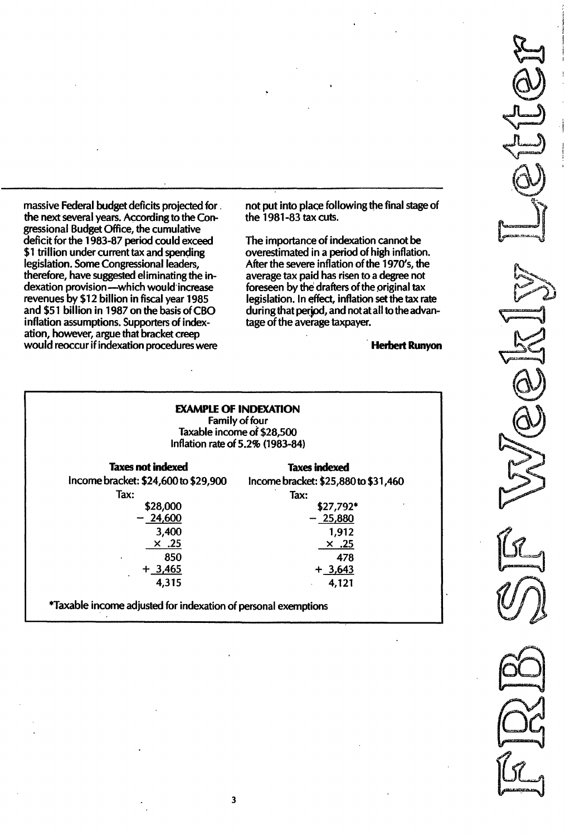massive Federal budget deficits projected for. the next several years. According to the Congressional Budget Office, the cumulative deficit for the 1983-87 period could exceed \$1 trillion under current tax and spending legislation. Some Congressional leaders, therefore, have suggested eliminating the indexation provision-which would increase revenues by \$12 billion in fiscal year 1985 and \$51 billion in 1987 on the basis of CBO inflation assumptions. Supporters of indexation, however, argue that bracket creep would reoccur if indexation procedures were

not put into place following the final stage of the 1981-83 tax cuts.

The importance of indexation cannot be overestimated in a period of high inflation. After the severe inflation of the 1970's, the average tax paid has risen to a degree not foreseen by the drafters of the original tax legislation. In effect, inflation set the tax rate during that period, and not at all to the advantage of the average taxpayer.

Herbert Runyon

## EXAMPLE OF INDEXATION

Family of four Taxable income of \$28,500 Inflation rate of 5.2% (1983-84)

| <b>Taxes not indexed</b>                                       | <b>Taxes indexed</b>                 |  |  |  |
|----------------------------------------------------------------|--------------------------------------|--|--|--|
| Income bracket: \$24,600 to \$29,900                           | Income bracket: \$25,880 to \$31,460 |  |  |  |
| Tax:                                                           | Tax:                                 |  |  |  |
| \$28,000                                                       | \$27,792*                            |  |  |  |
| $-24,600$                                                      | $-25,880$                            |  |  |  |
| 3,400                                                          | 1,912                                |  |  |  |
| $\times$ .25                                                   | <u>25. ×</u>                         |  |  |  |
| 850                                                            | 478                                  |  |  |  |
| $+3,465$                                                       | $+3,643$                             |  |  |  |
| 4,315                                                          | 4,121                                |  |  |  |
| *Taxable income adjusted for indexation of personal exemptions |                                      |  |  |  |